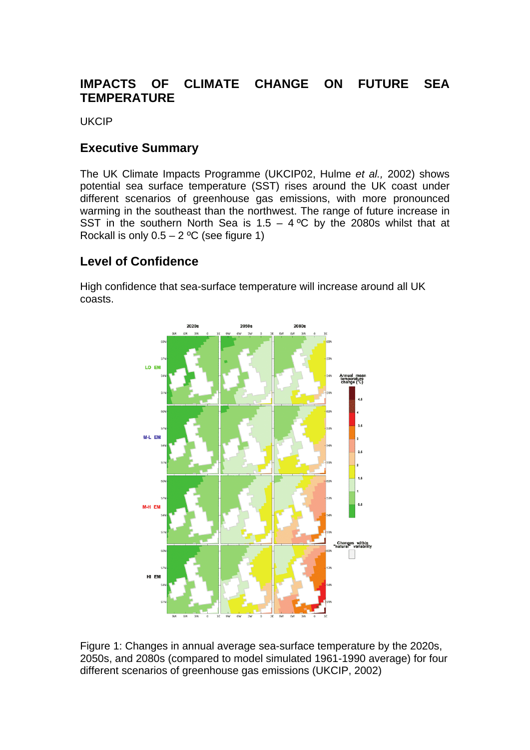## **IMPACTS OF CLIMATE CHANGE ON FUTURE SEA TEMPERATURE**

UKCIP

## **Executive Summary**

The UK Climate Impacts Programme (UKCIP02, Hulme *et al.,* 2002) shows potential sea surface temperature (SST) rises around the UK coast under different scenarios of greenhouse gas emissions, with more pronounced warming in the southeast than the northwest. The range of future increase in SST in the southern North Sea is  $1.5 - 4$  °C by the 2080s whilst that at Rockall is only  $0.5 - 2$  °C (see figure 1)

## **Level of Confidence**

High confidence that sea-surface temperature will increase around all UK coasts.



Figure 1: Changes in annual average sea-surface temperature by the 2020s, 2050s, and 2080s (compared to model simulated 1961-1990 average) for four different scenarios of greenhouse gas emissions (UKCIP, 2002)